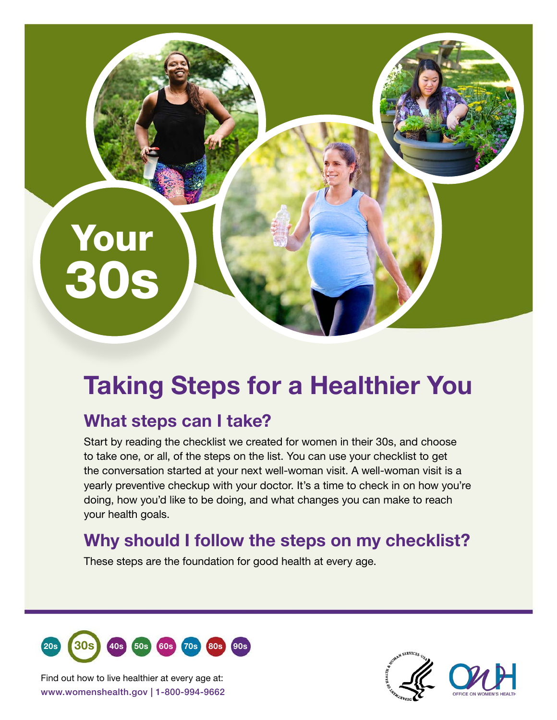# Taking Steps for a Healthier You

## What steps can I take?

Your

30s

Start by reading the checklist we created for women in their 30s, and choose to take one, or all, of the steps on the list. You can use your checklist to get the conversation started at your next well-woman visit. A well-woman visit is a yearly preventive checkup with your doctor. It's a time to check in on how you're doing, how you'd like to be doing, and what changes you can make to reach your health goals.

### Why should I follow the steps on my checklist?

These steps are the foundation for good health at every age.



www.womenshealth.gov | 1-800-994-9662 Find out how to live healthier at every age at: